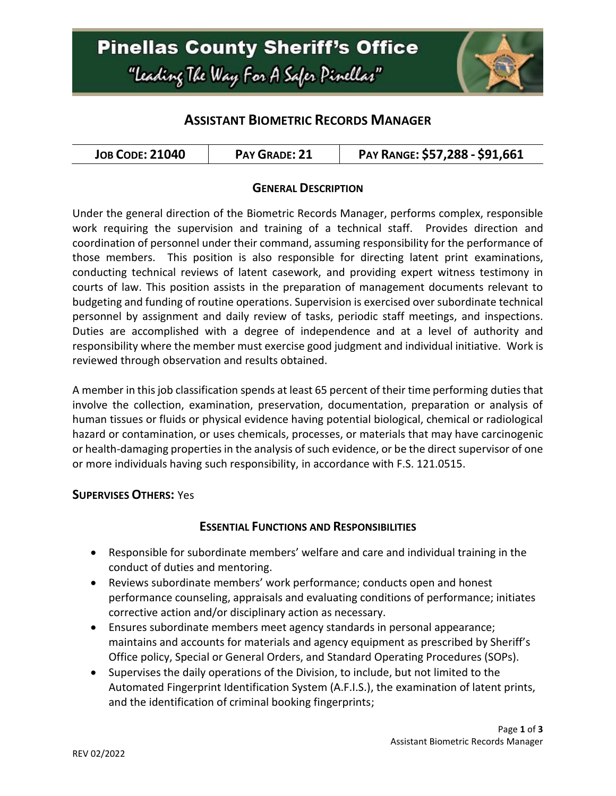# **Pinellas County Sheriff's Office** "Leading The Way For A Safer Pinellar"



## **ASSISTANT BIOMETRIC RECORDS MANAGER**

| <b>JOB CODE: 21040</b> | PAY GRADE: 21 | PAY RANGE: \$57,288 - \$91,661 |
|------------------------|---------------|--------------------------------|
|------------------------|---------------|--------------------------------|

#### **GENERAL DESCRIPTION**

Under the general direction of the Biometric Records Manager, performs complex, responsible work requiring the supervision and training of a technical staff. Provides direction and coordination of personnel under their command, assuming responsibility for the performance of those members. This position is also responsible for directing latent print examinations, conducting technical reviews of latent casework, and providing expert witness testimony in courts of law. This position assists in the preparation of management documents relevant to budgeting and funding of routine operations. Supervision is exercised over subordinate technical personnel by assignment and daily review of tasks, periodic staff meetings, and inspections. Duties are accomplished with a degree of independence and at a level of authority and responsibility where the member must exercise good judgment and individual initiative. Work is reviewed through observation and results obtained.

A member in this job classification spends at least 65 percent of their time performing duties that involve the collection, examination, preservation, documentation, preparation or analysis of human tissues or fluids or physical evidence having potential biological, chemical or radiological hazard or contamination, or uses chemicals, processes, or materials that may have carcinogenic or health-damaging properties in the analysis of such evidence, or be the direct supervisor of one or more individuals having such responsibility, in accordance with F.S. 121.0515.

#### **SUPERVISES OTHERS:** Yes

#### **ESSENTIAL FUNCTIONS AND RESPONSIBILITIES**

- Responsible for subordinate members' welfare and care and individual training in the conduct of duties and mentoring.
- Reviews subordinate members' work performance; conducts open and honest performance counseling, appraisals and evaluating conditions of performance; initiates corrective action and/or disciplinary action as necessary.
- Ensures subordinate members meet agency standards in personal appearance; maintains and accounts for materials and agency equipment as prescribed by Sheriff's Office policy, Special or General Orders, and Standard Operating Procedures (SOPs).
- Supervises the daily operations of the Division, to include, but not limited to the Automated Fingerprint Identification System (A.F.I.S.), the examination of latent prints, and the identification of criminal booking fingerprints;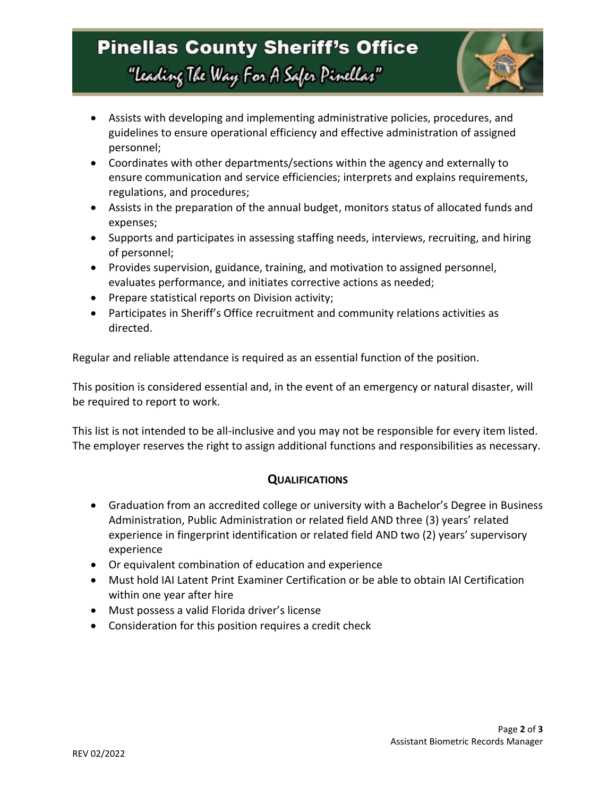# **Pinellas County Sheriff's Office** "Leading The Way For A Safer Pinellar"



- Assists with developing and implementing administrative policies, procedures, and guidelines to ensure operational efficiency and effective administration of assigned personnel;
- Coordinates with other departments/sections within the agency and externally to ensure communication and service efficiencies; interprets and explains requirements, regulations, and procedures;
- Assists in the preparation of the annual budget, monitors status of allocated funds and expenses;
- Supports and participates in assessing staffing needs, interviews, recruiting, and hiring of personnel;
- Provides supervision, guidance, training, and motivation to assigned personnel, evaluates performance, and initiates corrective actions as needed;
- Prepare statistical reports on Division activity;
- Participates in Sheriff's Office recruitment and community relations activities as directed.

Regular and reliable attendance is required as an essential function of the position.

This position is considered essential and, in the event of an emergency or natural disaster, will be required to report to work.

This list is not intended to be all-inclusive and you may not be responsible for every item listed. The employer reserves the right to assign additional functions and responsibilities as necessary.

### **QUALIFICATIONS**

- Graduation from an accredited college or university with a Bachelor's Degree in Business Administration, Public Administration or related field AND three (3) years' related experience in fingerprint identification or related field AND two (2) years' supervisory experience
- Or equivalent combination of education and experience
- Must hold IAI Latent Print Examiner Certification or be able to obtain IAI Certification within one year after hire
- Must possess a valid Florida driver's license
- Consideration for this position requires a credit check